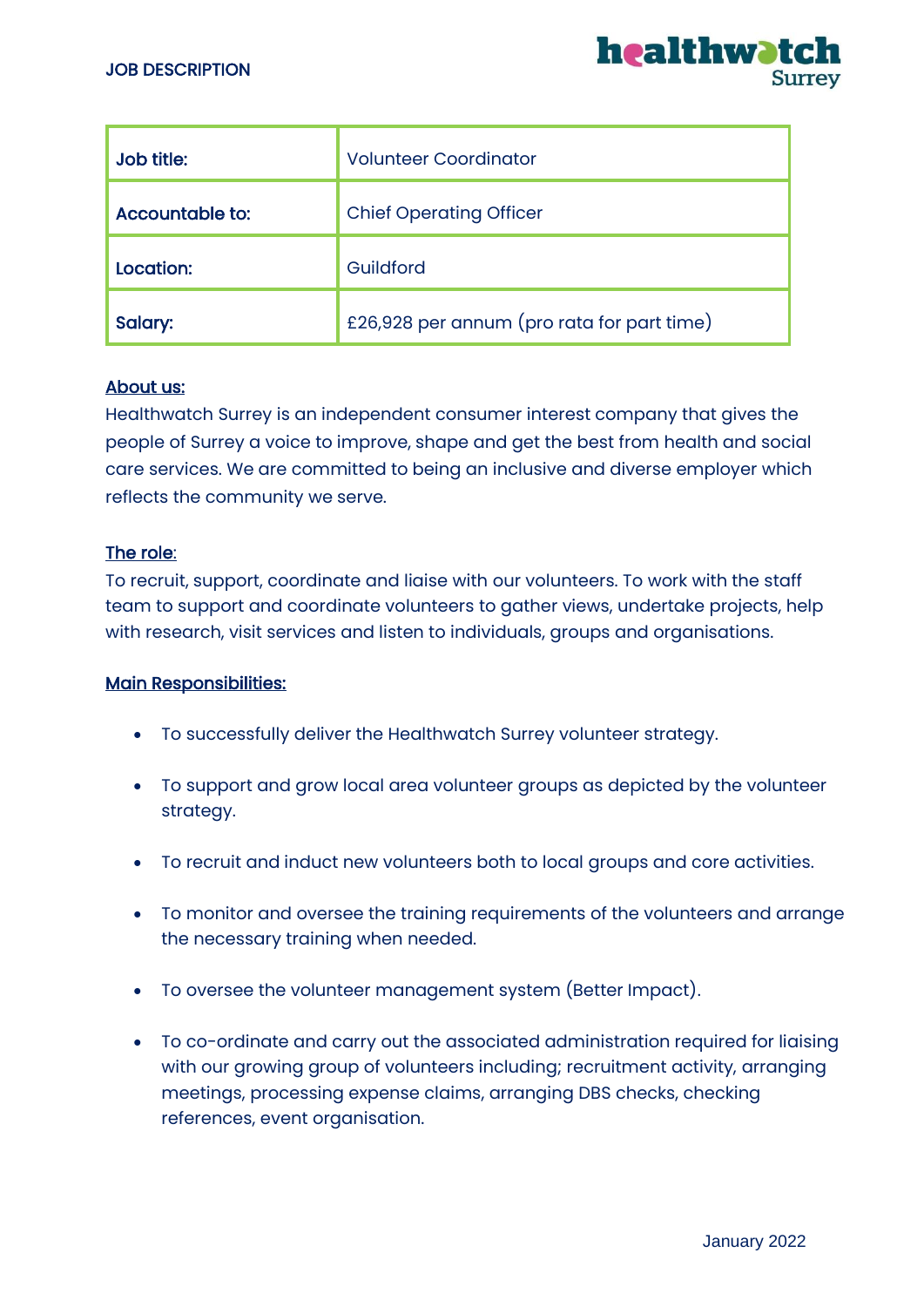

| Job title:      | <b>Volunteer Coordinator</b>               |
|-----------------|--------------------------------------------|
| Accountable to: | <b>Chief Operating Officer</b>             |
| Location:       | Guildford                                  |
| Salary:         | £26,928 per annum (pro rata for part time) |

### About us:

Healthwatch Surrey is an independent consumer interest company that gives the people of Surrey a voice to improve, shape and get the best from health and social care services. We are committed to being an inclusive and diverse employer which reflects the community we serve.

#### The role:

To recruit, support, coordinate and liaise with our volunteers. To work with the staff team to support and coordinate volunteers to gather views, undertake projects, help with research, visit services and listen to individuals, groups and organisations.

### Main Responsibilities:

- To successfully deliver the Healthwatch Surrey volunteer strategy.
- To support and grow local area volunteer groups as depicted by the volunteer strategy.
- To recruit and induct new volunteers both to local groups and core activities.
- To monitor and oversee the training requirements of the volunteers and arrange the necessary training when needed.
- To oversee the volunteer management system (Better Impact).
- To co-ordinate and carry out the associated administration required for liaising with our growing group of volunteers including; recruitment activity, arranging meetings, processing expense claims, arranging DBS checks, checking references, event organisation.